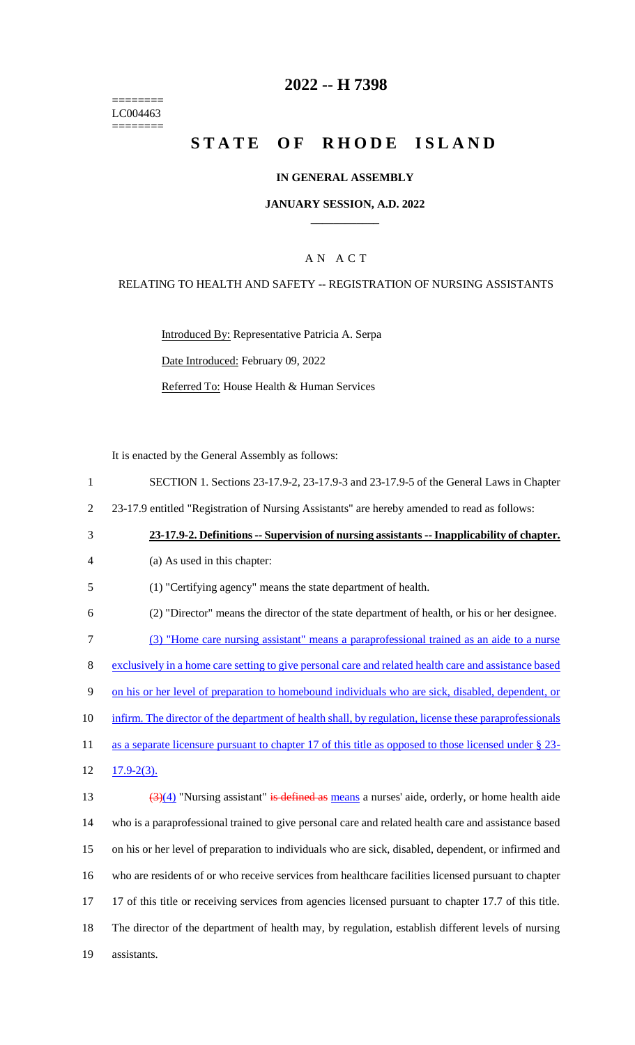======== LC004463  $=$ 

### **2022 -- H 7398**

## **STATE OF RHODE ISLAND**

#### **IN GENERAL ASSEMBLY**

#### **JANUARY SESSION, A.D. 2022 \_\_\_\_\_\_\_\_\_\_\_\_**

#### A N A C T

#### RELATING TO HEALTH AND SAFETY -- REGISTRATION OF NURSING ASSISTANTS

Introduced By: Representative Patricia A. Serpa Date Introduced: February 09, 2022 Referred To: House Health & Human Services

It is enacted by the General Assembly as follows:

| $\mathbf{1}$   | SECTION 1. Sections 23-17.9-2, 23-17.9-3 and 23-17.9-5 of the General Laws in Chapter                            |
|----------------|------------------------------------------------------------------------------------------------------------------|
| $\overline{2}$ | 23-17.9 entitled "Registration of Nursing Assistants" are hereby amended to read as follows:                     |
| 3              | 23-17.9-2. Definitions -- Supervision of nursing assistants -- Inapplicability of chapter.                       |
| $\overline{4}$ | (a) As used in this chapter:                                                                                     |
| 5              | (1) "Certifying agency" means the state department of health.                                                    |
| 6              | (2) "Director" means the director of the state department of health, or his or her designee.                     |
| $\tau$         | (3) "Home care nursing assistant" means a paraprofessional trained as an aide to a nurse                         |
| $8\,$          | exclusively in a home care setting to give personal care and related health care and assistance based            |
| 9              | on his or her level of preparation to homebound individuals who are sick, disabled, dependent, or                |
| 10             | infirm. The director of the department of health shall, by regulation, license these paraprofessionals           |
| 11             | as a separate licensure pursuant to chapter 17 of this title as opposed to those licensed under $\S$ 23-         |
| 12             | $17.9 - 2(3)$ .                                                                                                  |
| 13             | $\frac{(\frac{3}{4})}{(4)}$ "Nursing assistant" is defined as means a nurses' aide, orderly, or home health aide |
| 14             | who is a paraprofessional trained to give personal care and related health care and assistance based             |
| 15             | on his or her level of preparation to individuals who are sick, disabled, dependent, or infirmed and             |
| 16             | who are residents of or who receive services from healthcare facilities licensed pursuant to chapter             |
| 17             | 17 of this title or receiving services from agencies licensed pursuant to chapter 17.7 of this title.            |
| 18             | The director of the department of health may, by regulation, establish different levels of nursing               |
| 19             | assistants.                                                                                                      |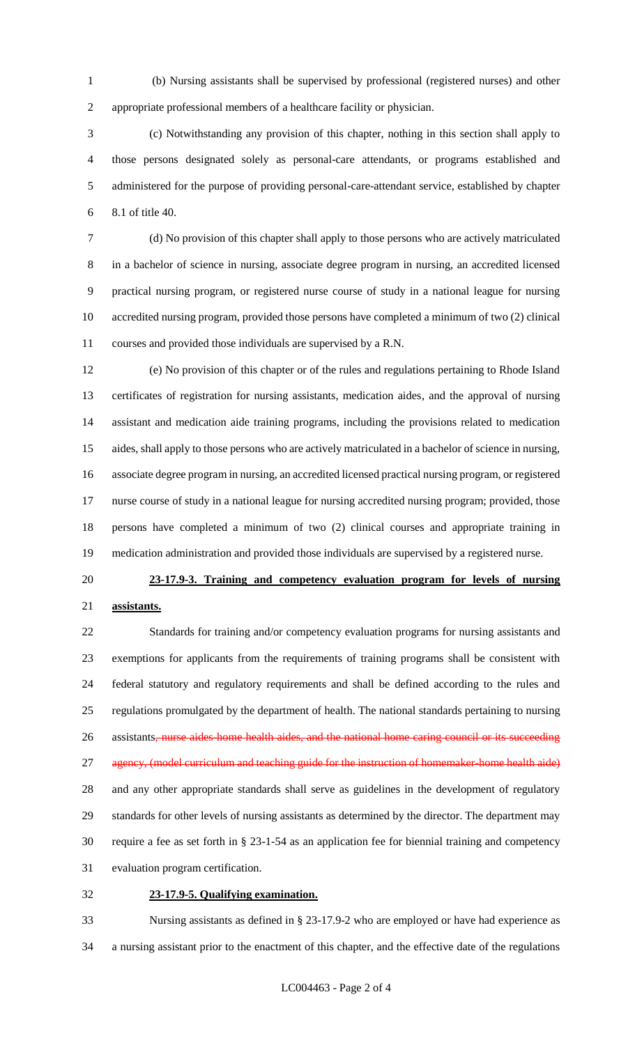(b) Nursing assistants shall be supervised by professional (registered nurses) and other appropriate professional members of a healthcare facility or physician.

 (c) Notwithstanding any provision of this chapter, nothing in this section shall apply to those persons designated solely as personal-care attendants, or programs established and administered for the purpose of providing personal-care-attendant service, established by chapter 8.1 of title 40.

 (d) No provision of this chapter shall apply to those persons who are actively matriculated in a bachelor of science in nursing, associate degree program in nursing, an accredited licensed practical nursing program, or registered nurse course of study in a national league for nursing accredited nursing program, provided those persons have completed a minimum of two (2) clinical courses and provided those individuals are supervised by a R.N.

 (e) No provision of this chapter or of the rules and regulations pertaining to Rhode Island certificates of registration for nursing assistants, medication aides, and the approval of nursing assistant and medication aide training programs, including the provisions related to medication aides, shall apply to those persons who are actively matriculated in a bachelor of science in nursing, associate degree program in nursing, an accredited licensed practical nursing program, or registered nurse course of study in a national league for nursing accredited nursing program; provided, those persons have completed a minimum of two (2) clinical courses and appropriate training in medication administration and provided those individuals are supervised by a registered nurse.

# **23-17.9-3. Training and competency evaluation program for levels of nursing**

#### **assistants.**

 Standards for training and/or competency evaluation programs for nursing assistants and exemptions for applicants from the requirements of training programs shall be consistent with federal statutory and regulatory requirements and shall be defined according to the rules and regulations promulgated by the department of health. The national standards pertaining to nursing 26 assistants, nurse aides home health aides, and the national home caring council or its succeeding 27 agency, (model curriculum and teaching guide for the instruction of homemaker-home health aide) and any other appropriate standards shall serve as guidelines in the development of regulatory standards for other levels of nursing assistants as determined by the director. The department may require a fee as set forth in § 23-1-54 as an application fee for biennial training and competency evaluation program certification.

#### **23-17.9-5. Qualifying examination.**

 Nursing assistants as defined in § 23-17.9-2 who are employed or have had experience as a nursing assistant prior to the enactment of this chapter, and the effective date of the regulations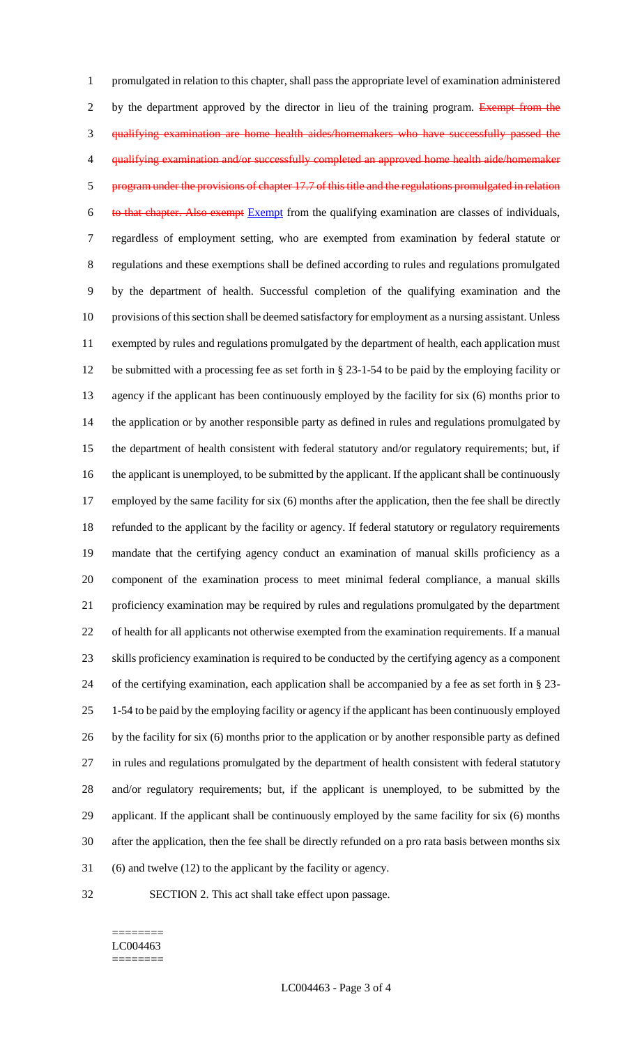promulgated in relation to this chapter, shall pass the appropriate level of examination administered 2 by the department approved by the director in lieu of the training program. Exempt from the qualifying examination are home health aides/homemakers who have successfully passed the qualifying examination and/or successfully completed an approved home health aide/homemaker program under the provisions of chapter 17.7 of this title and the regulations promulgated in relation 6 to that chapter. Also exempt Exempt from the qualifying examination are classes of individuals, regardless of employment setting, who are exempted from examination by federal statute or regulations and these exemptions shall be defined according to rules and regulations promulgated by the department of health. Successful completion of the qualifying examination and the provisions of this section shall be deemed satisfactory for employment as a nursing assistant. Unless exempted by rules and regulations promulgated by the department of health, each application must be submitted with a processing fee as set forth in § 23-1-54 to be paid by the employing facility or agency if the applicant has been continuously employed by the facility for six (6) months prior to the application or by another responsible party as defined in rules and regulations promulgated by the department of health consistent with federal statutory and/or regulatory requirements; but, if the applicant is unemployed, to be submitted by the applicant. If the applicant shall be continuously 17 employed by the same facility for six (6) months after the application, then the fee shall be directly refunded to the applicant by the facility or agency. If federal statutory or regulatory requirements mandate that the certifying agency conduct an examination of manual skills proficiency as a component of the examination process to meet minimal federal compliance, a manual skills proficiency examination may be required by rules and regulations promulgated by the department of health for all applicants not otherwise exempted from the examination requirements. If a manual skills proficiency examination is required to be conducted by the certifying agency as a component of the certifying examination, each application shall be accompanied by a fee as set forth in § 23- 1-54 to be paid by the employing facility or agency if the applicant has been continuously employed by the facility for six (6) months prior to the application or by another responsible party as defined in rules and regulations promulgated by the department of health consistent with federal statutory and/or regulatory requirements; but, if the applicant is unemployed, to be submitted by the applicant. If the applicant shall be continuously employed by the same facility for six (6) months after the application, then the fee shall be directly refunded on a pro rata basis between months six (6) and twelve (12) to the applicant by the facility or agency.

- 
- SECTION 2. This act shall take effect upon passage.

#### ======== LC004463 ========